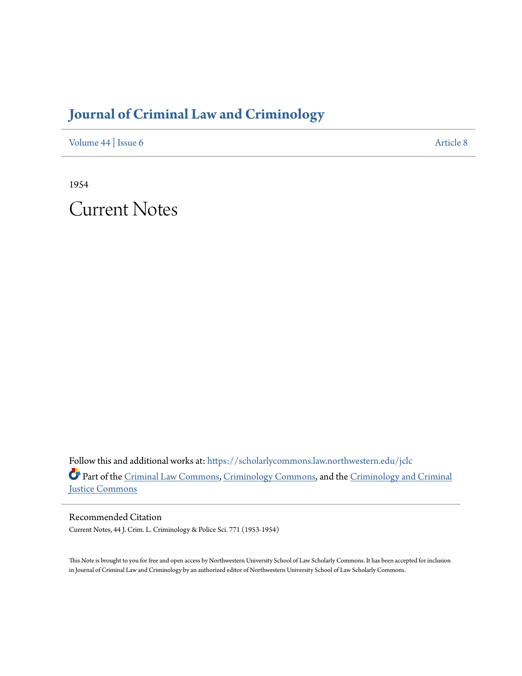## **[Journal of Criminal Law and Criminology](https://scholarlycommons.law.northwestern.edu/jclc?utm_source=scholarlycommons.law.northwestern.edu%2Fjclc%2Fvol44%2Fiss6%2F8&utm_medium=PDF&utm_campaign=PDFCoverPages)**

[Volume 44](https://scholarlycommons.law.northwestern.edu/jclc/vol44?utm_source=scholarlycommons.law.northwestern.edu%2Fjclc%2Fvol44%2Fiss6%2F8&utm_medium=PDF&utm_campaign=PDFCoverPages) | [Issue 6](https://scholarlycommons.law.northwestern.edu/jclc/vol44/iss6?utm_source=scholarlycommons.law.northwestern.edu%2Fjclc%2Fvol44%2Fiss6%2F8&utm_medium=PDF&utm_campaign=PDFCoverPages) [Article 8](https://scholarlycommons.law.northwestern.edu/jclc/vol44/iss6/8?utm_source=scholarlycommons.law.northwestern.edu%2Fjclc%2Fvol44%2Fiss6%2F8&utm_medium=PDF&utm_campaign=PDFCoverPages)

1954

Current Notes

Follow this and additional works at: [https://scholarlycommons.law.northwestern.edu/jclc](https://scholarlycommons.law.northwestern.edu/jclc?utm_source=scholarlycommons.law.northwestern.edu%2Fjclc%2Fvol44%2Fiss6%2F8&utm_medium=PDF&utm_campaign=PDFCoverPages) Part of the [Criminal Law Commons](http://network.bepress.com/hgg/discipline/912?utm_source=scholarlycommons.law.northwestern.edu%2Fjclc%2Fvol44%2Fiss6%2F8&utm_medium=PDF&utm_campaign=PDFCoverPages), [Criminology Commons](http://network.bepress.com/hgg/discipline/417?utm_source=scholarlycommons.law.northwestern.edu%2Fjclc%2Fvol44%2Fiss6%2F8&utm_medium=PDF&utm_campaign=PDFCoverPages), and the [Criminology and Criminal](http://network.bepress.com/hgg/discipline/367?utm_source=scholarlycommons.law.northwestern.edu%2Fjclc%2Fvol44%2Fiss6%2F8&utm_medium=PDF&utm_campaign=PDFCoverPages) [Justice Commons](http://network.bepress.com/hgg/discipline/367?utm_source=scholarlycommons.law.northwestern.edu%2Fjclc%2Fvol44%2Fiss6%2F8&utm_medium=PDF&utm_campaign=PDFCoverPages)

Recommended Citation Current Notes, 44 J. Crim. L. Criminology & Police Sci. 771 (1953-1954)

This Note is brought to you for free and open access by Northwestern University School of Law Scholarly Commons. It has been accepted for inclusion in Journal of Criminal Law and Criminology by an authorized editor of Northwestern University School of Law Scholarly Commons.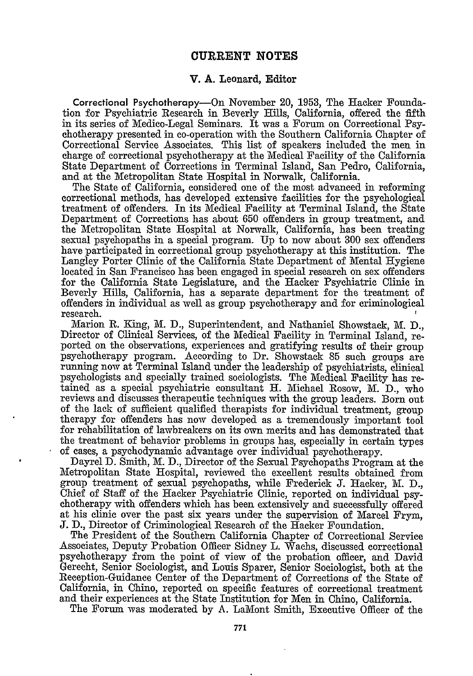## CURRENT **NOTES**

## V. **A.** Leonard, Editor

Correctional Psychotherapy-On November 20, 1953, The Hacker Foundation for Psychiatric Research in Beverly Hills, California, offered the fifth in its series of Medico-Legal Seminars. It was a Forum on Correctional Psychotherapy presented in co-operation with the Southern California Chapter of Correctional Service Associates. This list of speakers included the men in charge of correctional psychotherapy at the Medical Facility of the California State Department of Corrections in Terminal Island, San Pedro, California, and at the Metropolitan State Hospital in Norwalk, California.

The State of California, considered one of the most advanced in reforming correctional methods, has developed extensive facilities for the psychological treatment of offenders. In its Medical Facility at Terminal Island, the State Department of Corrections has about 650 offenders in group treatment, and the Metropolitan State Hospital at Norwalk, California, has been treating sexual psychopaths in a special program. Up to now about 300 sex offenders have participated in correctional group psychotherapy at this institution. The Langley Porter Clinic of the California State Department of Mental Hygiene located in San Francisco has been engaged in special research on sex offenders for the California State Legislature, and the Hacker Psychiatric Clinic in Beverly Hills, California, has a separate department for the treatment of offenders in individual as well as group psychotherapy and for criminological research.

Marion R. King, M. D., Superintendent, and Nathaniel Showstack, M. D., Director of Clinical Services, of the Medical Facility in Terminal Island, reported on the observations, experiences and gratifying results of their group psychotherapy program. According to Dr. Showstack 85 such groups are running now at Terminal Island under the leadership of psychiatrists, clinical psychologists and specially trained sociologists. The Medical Facility has retained as a special psychiatric consultant H. Michael Rosow, M. D., who reviews and discusses therapeutic techniques with the group leaders. Born out of the lack of sufficient qualified therapists for individual treatment, group therapy for offenders has now developed as a tremendously important tool for rehabilitation of lawbreakers on its own merits and has demonstrated that the treatment of behavior problems in groups has, especially in certain types of cases, a psychodynamic advantage over individual psychotherapy.

Dayrel D. Smith, M. D., Director of the Sexual Psychopaths Program at the Metropolitan State Hospital, reviewed the excellent results obtained from group treatment of sexual psychopaths, while Frederick J. Hacker, M. D., Chief of Staff of the Hacker Psychiatric Clinic, reported on individual **psy**chotherapy with offenders which has been extensively and successfully offered at his clinic over the past six years under the supervision of Marcel Frym, **J. D.,** Director of Criminological Research of the Hacker Foundation.

The President of the Southern California Chapter of Correctional Service Associates, Deputy Probation Officer Sidney L. Wachs, discussed correctional psychotherapy from the point of view of the probation officer, and David Gerecht, Senior Sociologist, and Louis Sparer, Senior Sociologist, both at the Reception-Guidance Center of the Department of Corrections of the State of California, in Chino, reported on specific features of correctional treatment and their experiences at the State Institution for Men in Chino, California.

The Forum was moderated **by A.** LaMont Smith, Executive Officer of the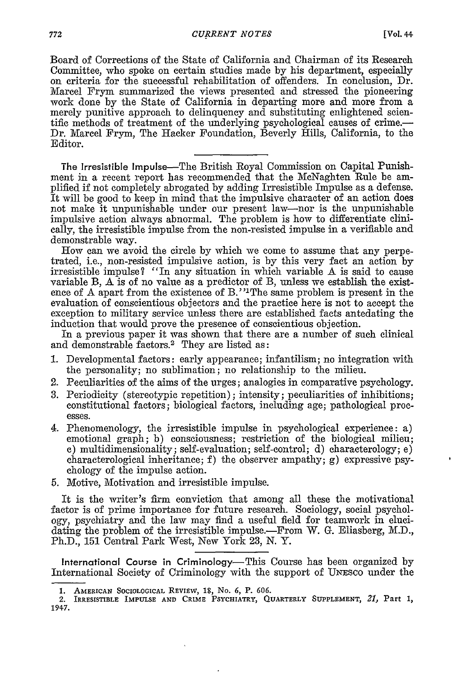Board of Corrections of the State of California and Chairman of its Research Committee, who spoke on certain studies made by his department, especially on criteria for the successful rehabilitation of offenders. In conclusion, Dr. Marcel Frym summarized the views presented and stressed the pioneering work done by the State of California in departing more and more from a merely punitive approach to delinquency and substituting enlightened scientific methods of treatment of the underlying psychological causes of crime.— Dr. Marcel Frym, The Hacker Foundation, Beverly Hills, California, to the Editor.

The Irresistible Impulse-The British Royal Commission on Capital Punishment in a recent report has recommended that the MeNaghten Rule be amplified if not completely abrogated by adding Irresistible Impulse as a defense. It will be good to keep in mind that the impulsive character of an action does not make it unpunishable under our present law-nor is the unpunishable impulsive action always abnormal. The problem is how to differentiate clinically, the irresistible impulse from the non-resisted impulse in a verifiable and demonstrable way.

How can we avoid the circle by which we come to assume that any perpetrated, i.e., non-resisted impulsive action, is by this very fact an action by irresistible impulse? "In any situation in which variable A is said to cause variable B, A is of no value as a predictor of B, unless we establish the existence of A apart from the existence of B."<sup>1</sup>The same problem is present in the evaluation of conscientious objectors and the practice here is not to accept the exception to military service unless there are established facts antedating the induction that would prove the presence of conscientious objection.

In a previous paper it was shown that there are a number of such clinical and demonstrable factors.2 They are listed as:

- 1. Developmental factors: early appearance; infantilism; no integration with the personality; no sublimation; no relationship to the milieu.
- 2. Peculiarities of the aims of the urges; analogies in comparative psychology.
- 3. Periodicity (stereotypic repetition); intensity; peculiarities of inhibitions; constitutional factors; biological factors, including age; pathological processes.
- 4. Phenomenology, the irresistible impulse in psychological experience: a) emotional graph; b) consciousness; restriction of the biological milieu; c) multidimensionality; self-evaluation; self-control; d) characterology; e) characterological inheritance; f) the observer ampathy; g) expressive psychology of the impulse action.
- 5. Motive, Motivation and irresistible impulse.

It is the writer's firm conviction that among all these the motivational factor is of prime importance for future research. Sociology, social psychology, psychiatry and the law may find a useful field for teamwork in elucidating the problem of the irresistible impulse.—From W. G. Eliasberg, M.D., Ph.D., 151 Central Park West, New York 23, N. Y.

International Course **in** Criminology-This Course has been organized by International Society of Criminology with the support of UNESCO under the

**<sup>1.</sup> AMERICAN SOCIOLOGICAL** REVIEW, **18, No.** *6,* P. **606. 2. IRRESISTIBLE IMPULSE AND CRIME PSYCHIATRY, QUARTERLY SUPPLEMENT,** *21,* **Part 1,** 1947.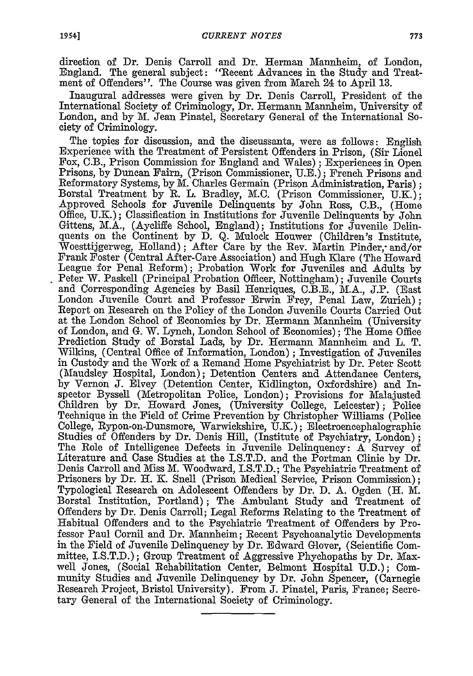direction of Dr. Denis Carroll and Dr. Herman Mannheim, of London, England. The general subject: "Recent Advances in the Study and Treatment of Offenders". The Course was given from March 24 to April **13.**

Inaugural addresses were given by Dr. Denis Carroll, President of the International Society of Criminology, Dr. Hermann Mannheim, University of London, and by M. Jean Pinatel, Secretary General of the International Society of Criminology.

The topics for discussion, and the discussanta, were as follows: English Experience with the Treatment of Persistent Offenders in Prison, (Sir Lionel Fox, C.B., Prison Commission for England and Wales); Experiences in Open Prisons, by Duncan Fairn, (Prison Commissioner, **U.E.);** French Prisons and Reformatory Systems, by M. Charles Germain (Prison Administration, Paris) **;** Borstal Treatment by R. L. Bradley, M.C. (Prison Commissioner, U.K.); Approved Schools for Juvenile Delinquents by John Ross, C.B., (Home Office, U.K.); Classification in Institutions for Juvenile Delinquents by John Gittens, M.A., (Aycliffe School, England); Institutions for Juvenile Delinquents on the Continent by D. **Q.** Mulock Houwer (Children's Institute, Woesttijgerweg, Holland); After Care by the Rev. Martin Pinder, and/or Frank Foster (Central After-Care Association) and Hugh Klare (The Howard League for Penal Reform); Probation Work for Juveniles and Adults by Peter W. Paskell (Principal Probation Officer, Nottingham); Juvenile Courts and Corresponding Agencies by Basil Henriques, C.B.E., M.A., J.P. (East London Juvenile Court and Professor Erwin Frey, Penal Law, Zurich) **;** Report on Research on the Policy of the London Juvenile Courts Carried Out at the London School of Economics by Dr. Hermann Mannheim (University of London, and G. W. Lynch, London School of Economics); The Home Office Prediction Study of Borstal Lads, by Dr. Hermann Mannheim and L. T. Wilkins, (Central Office of Information, London); Investigation of Juveniles in Custody and the Work of a Remand Home Psychiatrist by Dr. Peter Scott (Maudsley Hospital, London); Detention Centers and Attendance Centers, by Vernon J. Elvey (Detention Center, Kidlington, Oxfordshire) and Inspector Byssell (Metropolitan Police, London); Provisions for Malajusted Children by Dr. Howard Jones, (University College, Leicester); Police Technique in the Field of Crime Prevention by Christopher Williams (Police College, Rypon-on-Dunsmore, Warwickshire, U.K.); Electroencephalographic Studies of Offenders by Dr. Denis Hill, (Institute of Psychiatry, London); The Role of Intelligence Defects in Juvenile Delinquency: A Survey of Literature and Case Studies at the I.S.T.D. and the Portman Clinic by Dr. Denis Carroll and Miss M. Woodward, I.S.T.D.; The Psychiatric Treatment of Prisoners by Dr. H. K. Snell (Prison Medical Service, Prison Commission); Typological Research on Adolescent Offenders by Dr. D. A. Ogden (H. **M.** Borstal Institution, Portland); The Ambulant Study and Treatment of Offenders by Dr. Denis Carroll; Legal Reforms Relating to the Treatment of Habitual Offenders and to the Psychiatric Treatment of Offenders by Professor Paul Cornil and Dr. Mannheim; Recent Psychoanalytic Developments in the Field of Juvenile Delinquency by Dr. Edward Glover, (Scientific Committee, I.S.T.D.); Group Treatment of Aggressive Phychopaths by Dr. Maxwell Jones, (Social Rehabilitation Center, Belmont Hospital U.D.); Community Studies and Juvenile Delinquency by Dr. John Spencer, (Carnegie Research Project, Bristol University). From J. Pinatel, Paris, France; Secretary General of the International Society of Criminology.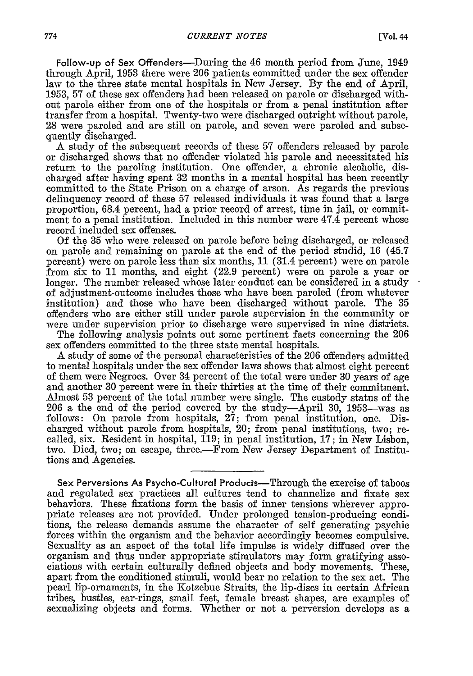Follow-up of Sex Offenders—During the 46 month period from June, 1949 through April, 1953 there were 206 patients committed under the sex offender law to the three state mental hospitals in New Jersey. By the end of April, 1953, 57 of these sex offenders had been released on parole or discharged without parole either from one of the hospitals or from a penal institution after transfer from a hospital. Twenty-two were discharged outright without parole, 28 were paroled and are still on parole, and seven were paroled and subsequently discharged.

A study of the subsequent records of these 57 offenders released by parole or discharged shows that no offender violated his parole and necessitated his return to the paroling institution. One offender, a chronic alcoholic, discharged after having spent 32 months in a mental hospital has been recently committed to the State Prison on a charge of arson. As regards the previous delinquency record of these 57 released individuals it was found that a large proportion, 68.4 percent, had a prior record of arrest, time in jail, or commitment to a penal institution. Included in this number were 47.4 percent whose record included sex offenses.

Of the 35 who were released on parole before being discharged, or released on parole and remaining on parole at the end of the period studid, 16 (45.7 percent) were on parole less than six months, 11 (31.4 percent) were on parole from six to 11 months, and eight (22.9 percent) were on parole a year or longer. The number released whose later conduct can be considered in a study of adjustment-outcome includes those who have been paroled (from whatever institution) and those who have been discharged without parole. The 35 offenders who are either still under parole supervision in the community or were under supervision prior to discharge were supervised in nine districts.

The following analysis points out some pertinent facts concerning the 206 sex offenders committed to the three state mental hospitals.

A study of some of the personal characteristics of the 206 offenders admitted to mental hospitals under the sex offender laws shows that almost eight percent of them were Negroes. Over 34 percent of the total were under 30 years of age and another 30 percent were in their thirties at the time of their commitment. Almost 53 percent of the total number were single. The custody status of the 206 a the end of the period covered by the study-April 30, 1953-was as follows: On parole from hospitals, 27; from penal institution, one. Discharged without parole from hospitals, 20; from penal institutions, two; recalled, six. Resident in hospital, 119; in penal institution, 17; in New Lisbon, two. Died, two; on escape, three.-From New Jersey Department of Institutions and Agencies.

Sex Perversions As Psycho-Cultural Products-Through the exercise of taboos and regulated sex practices all cultures tend to channelize and fixate sex behaviors. These fixations form the basis of inner tensions wherever appropriate releases are not provided. Under prolonged tension-producing conditions, the release demands assume the character of self generating psychic forces within the organism and the behavior accordingly becomes compulsive. Sexuality as an aspect of the total life impulse is widely diffused over the organism and thus under appropriate stimulators may form gratifying associations with certain culturally defined objects and body movements. These, apart from the conditioned stimuli, would bear no relation to the sex act. The pearl lip-ornaments, in the Kotzebue Straits, the lip-discs in certain African tribes, bustles, ear-rings, small feet, female breast shapes, are examples of sexualizing objects and forms. Whether or not a perversion develops as a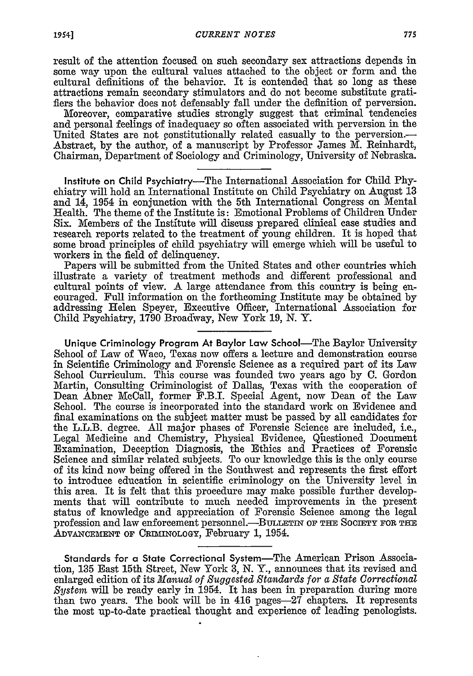result of the attention focused on such secondary sex attractions depends in some way upon the cultural values attached to the object or form and the cultural definitions of the behavior. It is contended that so long as these attractions remain secondary stimulators and do not become substitute gratifiers the behavior does not defensably fall under the definition of perversion.

Moreover, comparative studies strongly suggest that criminal tendencies and personal feelings of inadequacy so often associated with perversion in the United States are not constitutionally related casually to the perversion.-Abstract, by the author, of a manuscript by Professor James M. Reinhardt, Chairman, Department of Sociology and Criminology, University of Nebraska.

Institute on **Child** Psychiatry-The International Association for Child Phychiatry will hold an International Institute on Child Psychiatry on August 13 and 14, 1954 in conjunction with the 5th International Congress on Mental Health. The theme of the Institute is: Emotional Problems of Children Under Six. Members of the Institute will discuss prepared clinical case studies and research reports related to the treatment of young children. It is hoped that some broad principles of child psychiatry will emerge which will be useful to workers in the field of delinquency.

Papers will be submitted from the United States and other countries which illustrate a variety of treatment methods and different professional and cultural points of view. A large attendance from this country is being encouraged. Full information on the forthcoming Institute may be obtained by addressing Helen Speyer, Executive Officer, International Association for Child Psychiatry, 1790 Broadway, New York 19, N. Y.

**Unique Criminology Program At** Baylor Law School-The Baylor University School of Law of Waco, Texas now offers a lecture and demonstration course in Scientific Criminology and Forensic Science as a required part of its Law School Curriculum. This course was founded two years ago by C. Gordon Martin, Consulting Criminologist of Dallas, Texas with the cooperation of Dean Abner McCall, former F.B.I. Special Agent, now Dean of the Law School. The course is incorporated into the standard work on Evidence and final examinations on the subject matter must be passed by all candidates for the L.L.B. degree. All major phases of Forensic Science are included, i.e., Legal Medicine and Chemistry, Physical Evidence, Questioned Document Examination, Deception Diagnosis, the Ethics and Practices of Forensic Science and similar related subjects. To our knowledge this is the only course of its kind now being offered in the Southwest and represents the first effort to introduce education in scientific criminology on the University level in this area. It is felt that this procedure may make possible further developments that will contribute to much needed improvements in the present status of knowledge and appreciation of Forensic Science among the legal profession and law enforcement personnel.-BULLTIN **OF THE SOCIETY FOR THE ADVANCEMENT OF** CRIMINOLOGY, February 1, 1954.

Standards for a State Correctional System-The American Prison Association, **135** East 15th Street, New York 3, **N.** Y., announces that its revised and enlarged edition of its *Manual of Suggested Standards for a State Correctional System* will be ready early in 1954. It has been in preparation during more than two years. The book will be in 416 pages—27 chapters. It represents the most up-to-date practical thought and experience of leading penologists.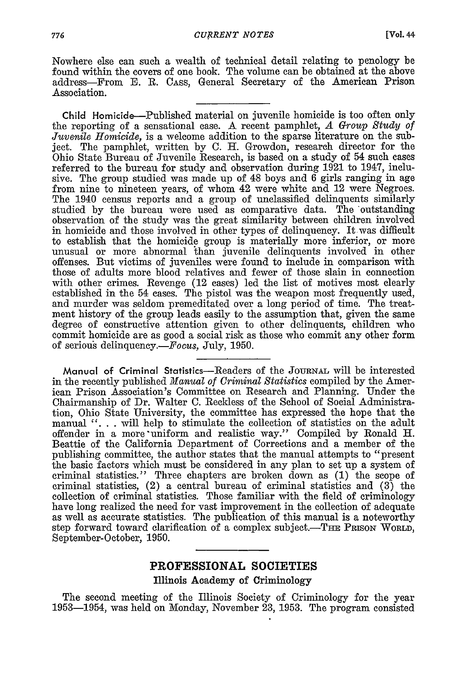Nowhere else can such a wealth of technical detail relating to penology be found within the covers of one book. The volume can be obtained at the above address-From E. R. CASs, General Secretary of the American Prison Association.

Child Homicide-Published material on juvenile homicide is too often only the reporting of a sensational case. A recent pamphlet, *A Group Study of Juvenile Homicide,* is a welcome addition to the sparse literature on the subject. The pamphlet, written by C. H. Growdon, research director for the Ohio State Bureau of Juvenile Research, is based on a study of 54 such cases referred to the bureau for study and observation during **1921** to 1947, inclusive. The group studied was made up of 48 boys and 6 girls ranging in age from nine to nineteen years, of whom 42 were white and 12 were Negroes. The 1940 census reports and a group of unclassified delinquents similarly studied by the bureau were used as comparative data. The outstanding observation of the study was the great similarity between children involved in homicide and those involved in other types of delinquency. It was difficult to establish that the homicide group is materially more inferior, or more unusual or more abnormal than juvenile delinquents involved in other offenses. But victims of juveniles were found to include in comparison with those of adults more blood relatives and fewer of those slain in connection with other crimes. Revenge (12 cases) led the list of motives most clearly established in the 54 cases. The pistol was the weapon most frequently used, and murder was seldom premeditated over a long period of time. The treatment history of the group leads easily to the assumption that, given the same degree of constructive attention given to other delinquents, children who commit homicide are as good a social risk as those who commit any other form of serious delinquency. $-Focus$ , July, 1950.

Manual of Criminal Statistics-Readers of the JOURNAL will be interested in the recently published *Manual of Criminal Statistics* compiled by the American Prison Association's Committee on Research and Planning. Under the Chairmanship of Dr. Walter C. Reckless of the School of Social Administration, Ohio State University, the committee has expressed the hope that the manual "... will help to stimulate the collection of statistics on the adult offender in a more'uniform and realistic way." Compiled by Ronald H. Beattie of the California Department of Corrections and a member of the publishing committee, the author states that the manual attempts to "present the basic factors which must be considered in any plan to set up a system of criminal statistics." Three chapters are broken down as **(1)** the scope of criminal statistics, (2) a central bureau of criminal statistics and (3) the collection of criminal statistics. Those familiar with the field of criminology have long realized the need for vast improvement in the collection of adequate as well as accurate statistics. The publication of this manual is a noteworthy step forward toward clarification of a complex subject.-THE PRISON **WORLD,** September-October, 1950.

## **PROFESSIONAL SOCIETIES Illinois Academy of Criminology**

The second meeting of the Illinois Society of Criminology for the year 1953-1954, was held on Ionday, November 23, 1953. The program consisted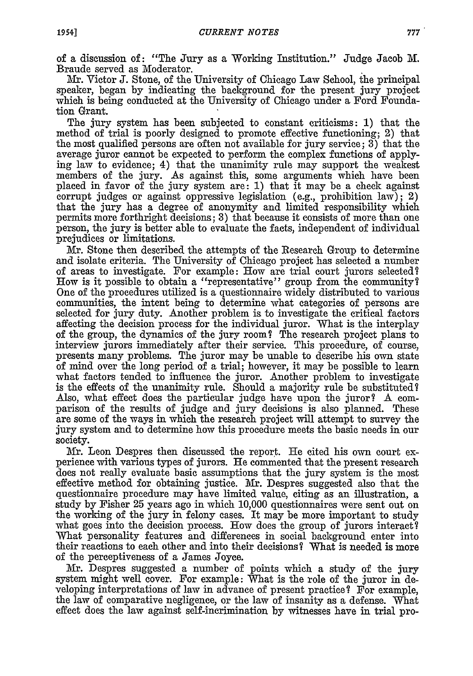of a discussion of: "The Jury as a Working Institution." Judge Jacob M. Braude served as Moderator.

Mr. Victor J. Stone, of the University of Chicago Law School, the principal speaker, began by indicating the background for the present jury project which is being conducted at the University of Chicago under a Ford Foundation Grant.

The **jury** system has been subjected to constant criticisms: **1)** that the method of trial is poorly designed to promote effective functioning; 2) that the most qualified persons are often not available for jury service; **3)** that the average juror cannot be expected to perform the complex functions of applying law to evidence; 4) that the unanimity rule may support the weakest members of the jury. As against this, some arguments which have been placed in favor of the jury system are: **1)** that it may be a check against corrupt judges or against oppressive legislation (e.g., prohibition law); 2) that the jury has a degree of anonymity and limited responsibility which permits more forthright decisions; **3)** that because it consists of more than one person, the jury is better able to evaluate the facts, independent of individual prejudices or limitations.

Mr. Stone then described the attempts of the Research Group to determine and isolate criteria. The University of Chicago project has selected a number of areas to investigate. For example: How are trial court jurors selected? How is it possible to obtain a "representative" group from the community? One of the procedures utilized is a questionnaire widely distributed to various communities, the intent being to determine what categories of persons are selected for jury duty. Another problem is to investigate the critical factors affecting the decision process for the individual juror. What is the interplay of the group, the dynamics of the jury room? The research project plans to interview jurors immediately after their service. This procedure, of course, presents many problems. The juror may be unable to describe his own state of mind over the long period of a trial; however, it may be possible to learn what factors tended to influence the juror. Another problem to investigate is the effects of the unanimity rule. Should a majority rule be substituted? Also, what effect does the particular judge have upon the juror? A comparison of the results of judge and jury decisions is also planned. These are some of the ways in which the research project will attempt to survey the jury system and to determine how this procedure meets the basic needs in our society.

Mr. Leon Despres then discussed the report. He cited his own court experience with various types of jurors. He commented that the present research does not really evaluate basic assumptions that the jury system is the most effective method for obtaining justice. Mr. Despres suggested also that the questionnaire procedure may have limited value, citing as an illustration, a study **by** Fisher **25** years ago in which **10,000** questionnaires were sent out on the working of the jury in felony cases. It may be more important to study what goes into the decision process. How does the group of jurors interact? What personality features and differences in social background enter into their reactions to each other and into their decisions? What is needed is more of the perceptiveness of a James Joyce.

Mr. Despres suggested a number of points which a study of the jury system might well cover. For example: What is the role of the juror in developing interpretations of law in advance of present practice? For example, the law of comparative negligence, or the law of insanity as a defense. What effect does the law against self-incrimination **by** witnesses have in trial pro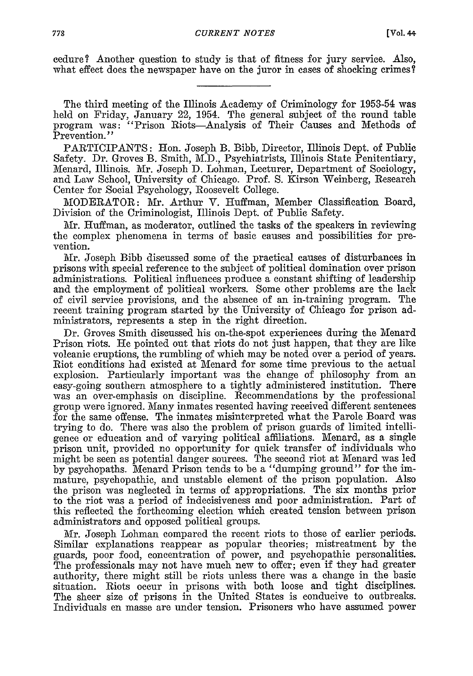cedure? Another question to study is that of fitness for jury service. Also, what effect does the newspaper have on the juror in cases of shocking crimes?

The third meeting of the Illinois Academy of Criminology for 1953-54 was held on Friday, January 22, 1954. The general subject of the round table program was: "Prison Riots-Analysis of Their Causes and Methods of Prevention."

PARTICIPANTS: Hon. Joseph B. Bibb, Director, Illinois Dept. of Public Safety. Dr. Groves B. Smith, M.D., Psychiatrists, Illinois State Penitentiary, Mfenard, Illinois. Mr. Joseph D. Lohman, Lecturer, Department of Sociology, and Law School, University of Chicago. Prof. S. Kirson Weinberg, Research Center for Social Psychology, Roosevelt College.

MODERATOR: Mr. Arthur V. Huffman, Member Classification Board, Division of the Criminologist, Illinois Dept. of Public Safety.

Mr. Huffman, as moderator, outlined the tasks of the speakers in reviewing the complex phenomena in terms of basic causes and possibilities for prevention.

Mr. Joseph Bibb discussed some of the practical causes of disturbances in prisons with special reference to the subject of political domination over prison administrations. Political influences produce a constant shifting of leadership and the employment of political workers. Some other problems are the lack of civil service provisions, and the absence of an in-training program. The recent training program started by the University of Chicago for prison administrators, represents a step in the right direction.

Dr. Groves Smith discussed his on-the-spot experiences during the Menard Prison riots. He pointed out that riots do not just happen, that they are like volcanic eruptions, the rumbling of which may be noted over a period of years. Riot conditions had existed at Menard for some time previous to the actual explosion. Particularly important was the change of philosophy from an easy-going southern atmosphere to a tightly administered institution. There was an over-emphasis on discipline. Recommendations by the professional group were ignored. Many inmates resented having received different sentences for the same offense. The inmates misinterpreted what the Parole Board was trying to do. There was also the problem of prison guards of limited intelligence or education and of varying political affiliations. Menard, as a single prison unit, provided no opportunity for quick transfer of individuals who might be seen as potential danger sources. The second riot at Menard was led by psychopaths. Menard Prison tends to be a "dumping ground" for the immature, psychopathic, and unstable element of the prison population. Also the prison was neglected in terms of appropriations. The six months prior to the riot was a period of indecisiveness and poor administration. Part of this reflected the forthcoming election which created tension between prison administrators and opposed political groups.

Mr. Joseph Lohman compared the recent riots to those of earlier periods. Similar explanations reappear as popular theories; mistreatment by the guards, poor food, concentration of power, and psychopathic personalities. The professionals may not have much new to offer; even if they had greater authority, there might still be riots unless there was a change in the basic situation. Riots occur in prisons with both loose and tight disciplines. The sheer size of prisons in the United States is conducive to outbreaks. Individuals en masse are under tension. Prisoners who have assumed power